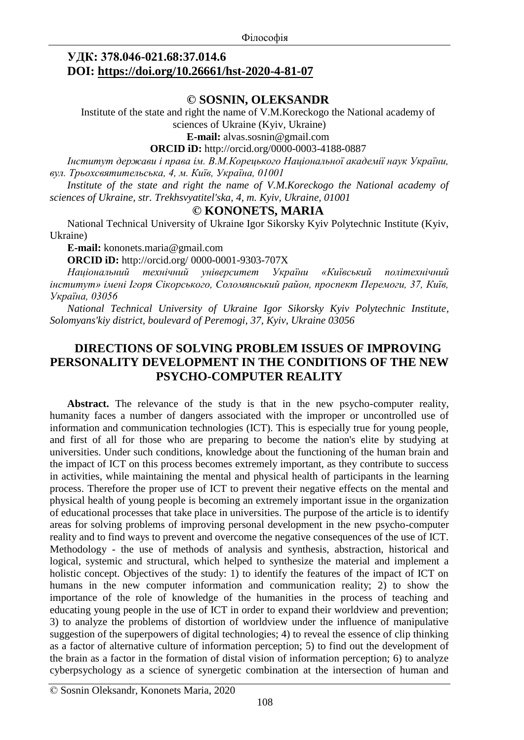#### **УДК: 378.046-021.68:37.014.6 DOI: <https://doi.org/10.26661/hst-2020-4-81-07>**

#### **© SOSNIN, OLEKSANDR**

Institute of the state and right the name of V.M.Koreckogo the National academy of sciences of Ukraine (Kyiv, Ukraine)

**E-mail:** [alvas.sosnin@gmail.com](mailto:alvas.sosnin@gmail.com)

**ORCID iD:** [http://orcid.org/0](http://orcid.org/)000-0003-4188-0887

*Інститут держави і права ім. В.М.Корецького Національної академії наук України, вул. Трьохсвятительська, 4, м. Київ, Україна, 01001*

*Institute of the state and right the name of V.M.Koreckogo the National academy of sciences of Ukraine, str. Trekhsvyatitel'ska, 4, m. Kyiv, Ukraine, 01001*

#### **© KONONETS, MARIA**

National Technical University of Ukraine Igor Sikorsky Kyiv Polytechnic Institute (Kyiv, Ukraine)

**Е-maіl:** [kononets.maria@gmail.com](mailto:kononets.maria@gmail.com)

**ORCID iD:** <http://orcid.org/> 0000-0001-9303-707X

*Національний технічний університет України «Київський політехнічний інститут» імені Ігоря Сікорського, Соломянський район, проспект Перемоги, 37, Київ, Україна, 03056*

*National Technical University of Ukraine Igor Sikorsky Kyiv Polytechnic Institute, Solomyans'kiy district, boulevard of Peremogi, 37, Kyiv, Ukraine 03056*

#### **DIRECTIONS OF SOLVING PROBLEM ISSUES OF IMPROVING PERSONALITY DEVELOPMENT IN THE CONDITIONS OF THE NEW PSYCHO-COMPUTER REALITY**

**Abstract.** The relevance of the study is that in the new psycho-computer reality, humanity faces a number of dangers associated with the improper or uncontrolled use of information and communication technologies (ICT). This is especially true for young people, and first of all for those who are preparing to become the nation's elite by studying at universities. Under such conditions, knowledge about the functioning of the human brain and the impact of ICT on this process becomes extremely important, as they contribute to success in activities, while maintaining the mental and physical health of participants in the learning process. Therefore the proper use of ICT to prevent their negative effects on the mental and physical health of young people is becoming an extremely important issue in the organization of educational processes that take place in universities. The purpose of the article is to identify areas for solving problems of improving personal development in the new psycho-computer reality and to find ways to prevent and overcome the negative consequences of the use of ICT. Methodology - the use of methods of analysis and synthesis, abstraction, historical and logical, systemic and structural, which helped to synthesize the material and implement a holistic concept. Objectives of the study: 1) to identify the features of the impact of ICT on humans in the new computer information and communication reality; 2) to show the importance of the role of knowledge of the humanities in the process of teaching and educating young people in the use of ICT in order to expand their worldview and prevention; 3) to analyze the problems of distortion of worldview under the influence of manipulative suggestion of the superpowers of digital technologies; 4) to reveal the essence of clip thinking as a factor of alternative culture of information perception; 5) to find out the development of the brain as a factor in the formation of distal vision of information perception; 6) to analyze cyberpsychology as a science of synergetic combination at the intersection of human and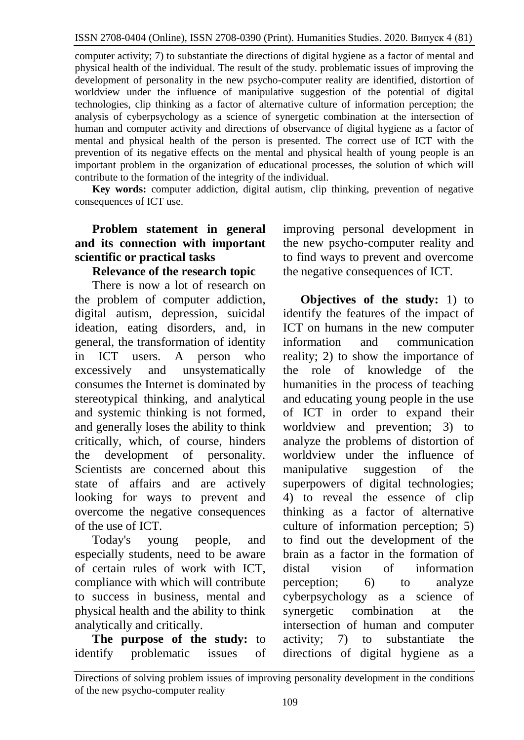computer activity; 7) to substantiate the directions of digital hygiene as a factor of mental and physical health of the individual. The result of the study. problematic issues of improving the development of personality in the new psycho-computer reality are identified, distortion of worldview under the influence of manipulative suggestion of the potential of digital technologies, clip thinking as a factor of alternative culture of information perception; the analysis of cyberpsychology as a science of synergetic combination at the intersection of human and computer activity and directions of observance of digital hygiene as a factor of mental and physical health of the person is presented. The correct use of ICT with the prevention of its negative effects on the mental and physical health of young people is an important problem in the organization of educational processes, the solution of which will contribute to the formation of the integrity of the individual.

**Key words:** computer addiction, digital autism, clip thinking, prevention of negative consequences of ICT use.

# **Problem statement in general and its connection with important scientific or practical tasks**

# **Relevance of the research topic**

There is now a lot of research on the problem of computer addiction, digital autism, depression, suicidal ideation, eating disorders, and, in general, the transformation of identity in ICT users. A person who excessively and unsystematically consumes the Internet is dominated by stereotypical thinking, and analytical and systemic thinking is not formed, and generally loses the ability to think critically, which, of course, hinders the development of personality. Scientists are concerned about this state of affairs and are actively looking for ways to prevent and overcome the negative consequences of the use of ICT.

Today's young people, and especially students, need to be aware of certain rules of work with ICT, compliance with which will contribute to success in business, mental and physical health and the ability to think analytically and critically.

**The purpose of the study:** to identify problematic issues of improving personal development in the new psycho-computer reality and to find ways to prevent and overcome the negative consequences of ICT.

**Objectives of the study:** 1) to identify the features of the impact of ICT on humans in the new computer information and communication reality; 2) to show the importance of the role of knowledge of the humanities in the process of teaching and educating young people in the use of ICT in order to expand their worldview and prevention; 3) to analyze the problems of distortion of worldview under the influence of manipulative suggestion of the superpowers of digital technologies; 4) to reveal the essence of clip thinking as a factor of alternative culture of information perception; 5) to find out the development of the brain as a factor in the formation of distal vision of information perception; 6) to analyze cyberpsychology as a science of synergetic combination at the intersection of human and computer activity; 7) to substantiate the directions of digital hygiene as a

Directions of solving problem issues of improving personality development in the conditions of the new psycho-computer reality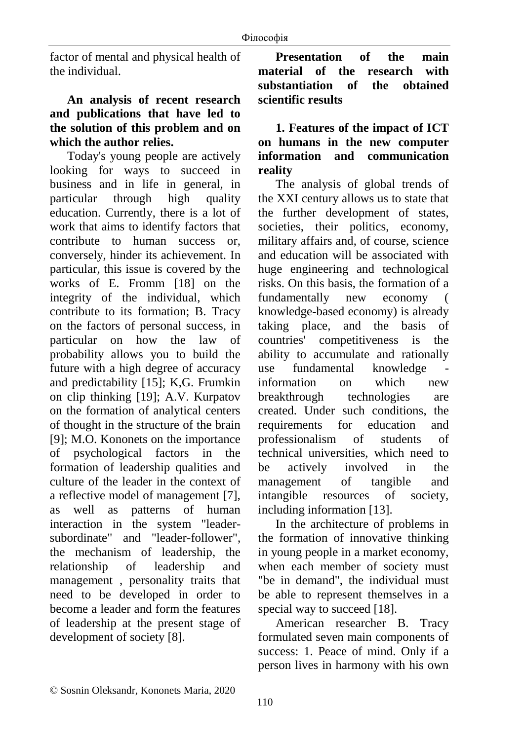factor of mental and physical health of the individual.

# **An analysis of recent research and publications that have led to the solution of this problem and on which the author relies.**

Today's young people are actively looking for ways to succeed in business and in life in general, in particular through high quality education. Currently, there is a lot of work that aims to identify factors that contribute to human success or, conversely, hinder its achievement. In particular, this issue is covered by the works of E. Fromm [18] on the integrity of the individual, which contribute to its formation; B. Tracy on the factors of personal success, in particular on how the law of probability allows you to build the future with a high degree of accuracy and predictability [15]; K,G. Frumkin on clip thinking [19]; A.V. Kurpatov on the formation of analytical centers of thought in the structure of the brain [9]; M.O. Kononets on the importance of psychological factors in the formation of leadership qualities and culture of the leader in the context of a reflective model of management [7], as well as patterns of human interaction in the system "leadersubordinate" and "leader-follower", the mechanism of leadership, the relationship of leadership and management , personality traits that need to be developed in order to become a leader and form the features of leadership at the present stage of development of society [8].

**Presentation of the main material of the research with substantiation of the obtained scientific results**

## **1. Features of the impact of ICT on humans in the new computer information and communication reality**

The analysis of global trends of the XXI century allows us to state that the further development of states, societies, their politics, economy, military affairs and, of course, science and education will be associated with huge engineering and technological risks. On this basis, the formation of a fundamentally new economy ( knowledge-based economy) is already taking place, and the basis of countries' competitiveness is the ability to accumulate and rationally use fundamental knowledge information on which new breakthrough technologies are created. Under such conditions, the requirements for education and professionalism of students of technical universities, which need to be actively involved in the management of tangible and intangible resources of society, including information [13].

In the architecture of problems in the formation of innovative thinking in young people in a market economy, when each member of society must "be in demand", the individual must be able to represent themselves in a special way to succeed [18].

American researcher B. Tracy formulated seven main components of success: 1. Peace of mind. Only if a person lives in harmony with his own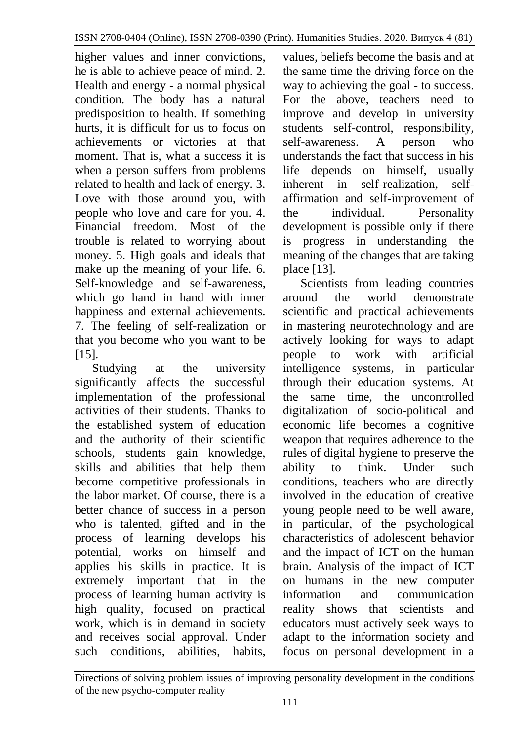higher values and inner convictions, he is able to achieve peace of mind. 2. Health and energy - a normal physical condition. The body has a natural predisposition to health. If something hurts, it is difficult for us to focus on achievements or victories at that moment. That is, what a success it is when a person suffers from problems related to health and lack of energy. 3. Love with those around you, with people who love and care for you. 4. Financial freedom. Most of the trouble is related to worrying about money. 5. High goals and ideals that make up the meaning of your life. 6. Self-knowledge and self-awareness, which go hand in hand with inner happiness and external achievements. 7. The feeling of self-realization or that you become who you want to be [15].

Studying at the university significantly affects the successful implementation of the professional activities of their students. Thanks to the established system of education and the authority of their scientific schools, students gain knowledge, skills and abilities that help them become competitive professionals in the labor market. Of course, there is a better chance of success in a person who is talented, gifted and in the process of learning develops his potential, works on himself and applies his skills in practice. It is extremely important that in the process of learning human activity is high quality, focused on practical work, which is in demand in society and receives social approval. Under such conditions, abilities, habits,

values, beliefs become the basis and at the same time the driving force on the way to achieving the goal - to success. For the above, teachers need to improve and develop in university students self-control, responsibility, self-awareness. A person who understands the fact that success in his life depends on himself, usually inherent in self-realization, selfaffirmation and self-improvement of the individual. Personality development is possible only if there is progress in understanding the meaning of the changes that are taking place [13].

Scientists from leading countries around the world demonstrate scientific and practical achievements in mastering neurotechnology and are actively looking for ways to adapt people to work with artificial intelligence systems, in particular through their education systems. At the same time, the uncontrolled digitalization of socio-political and economic life becomes a cognitive weapon that requires adherence to the rules of digital hygiene to preserve the ability to think. Under such conditions, teachers who are directly involved in the education of creative young people need to be well aware, in particular, of the psychological characteristics of adolescent behavior and the impact of ICT on the human brain. Analysis of the impact of ICT on humans in the new computer information and communication reality shows that scientists and educators must actively seek ways to adapt to the information society and focus on personal development in a

Directions of solving problem issues of improving personality development in the conditions of the new psycho-computer reality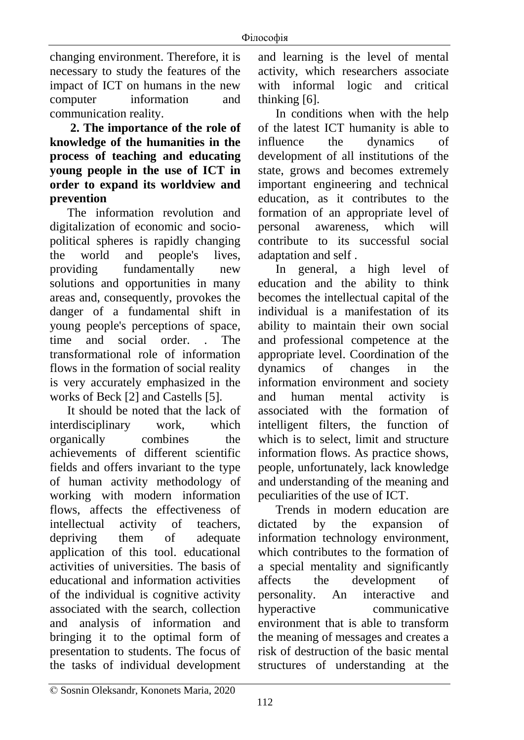changing environment. Therefore, it is necessary to study the features of the impact of ICT on humans in the new computer information and communication reality.

**2. The importance of the role of knowledge of the humanities in the process of teaching and educating young people in the use of ICT in order to expand its worldview and prevention**

The information revolution and digitalization of economic and sociopolitical spheres is rapidly changing the world and people's lives, providing fundamentally new solutions and opportunities in many areas and, consequently, provokes the danger of a fundamental shift in young people's perceptions of space, time and social order. . The transformational role of information flows in the formation of social reality is very accurately emphasized in the works of Beck [2] and Castells [5].

It should be noted that the lack of interdisciplinary work, which organically combines the achievements of different scientific fields and offers invariant to the type of human activity methodology of working with modern information flows, affects the effectiveness of intellectual activity of teachers, depriving them of adequate application of this tool. educational activities of universities. The basis of educational and information activities of the individual is cognitive activity associated with the search, collection and analysis of information and bringing it to the optimal form of presentation to students. The focus of the tasks of individual development

and learning is the level of mental activity, which researchers associate with informal logic and critical thinking [6].

In conditions when with the help of the latest ICT humanity is able to influence the dynamics of development of all institutions of the state, grows and becomes extremely important engineering and technical education, as it contributes to the formation of an appropriate level of personal awareness, which will contribute to its successful social adaptation and self .

In general, a high level of education and the ability to think becomes the intellectual capital of the individual is a manifestation of its ability to maintain their own social and professional competence at the appropriate level. Coordination of the dynamics of changes in the information environment and society and human mental activity is associated with the formation of intelligent filters, the function of which is to select, limit and structure information flows. As practice shows, people, unfortunately, lack knowledge and understanding of the meaning and peculiarities of the use of ICT.

Trends in modern education are dictated by the expansion of information technology environment, which contributes to the formation of a special mentality and significantly affects the development of personality. An interactive and hyperactive communicative environment that is able to transform the meaning of messages and creates a risk of destruction of the basic mental structures of understanding at the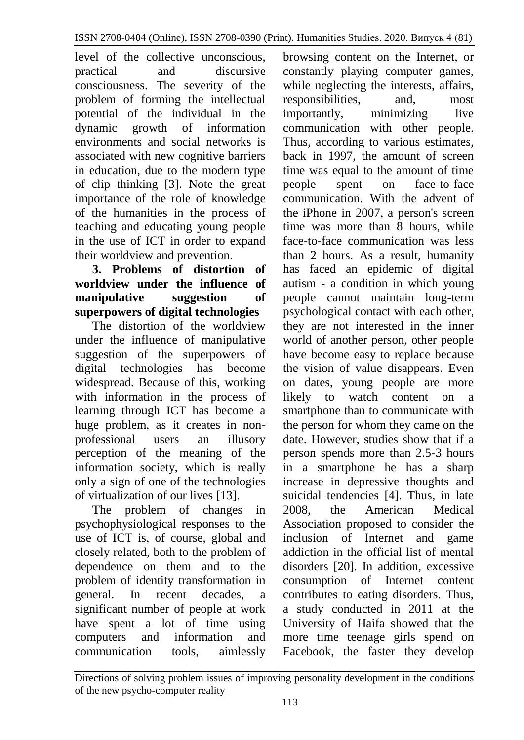level of the collective unconscious, practical and discursive consciousness. The severity of the problem of forming the intellectual potential of the individual in the dynamic growth of information environments and social networks is associated with new cognitive barriers in education, due to the modern type of clip thinking [3]. Note the great importance of the role of knowledge of the humanities in the process of teaching and educating young people in the use of ICT in order to expand their worldview and prevention.

## **3. Problems of distortion of worldview under the influence of manipulative suggestion of superpowers of digital technologies**

The distortion of the worldview under the influence of manipulative suggestion of the superpowers of digital technologies has become widespread. Because of this, working with information in the process of learning through ICT has become a huge problem, as it creates in nonprofessional users an illusory perception of the meaning of the information society, which is really only a sign of one of the technologies of virtualization of our lives [13].

The problem of changes in psychophysiological responses to the use of ICT is, of course, global and closely related, both to the problem of dependence on them and to the problem of identity transformation in general. In recent decades, a significant number of people at work have spent a lot of time using computers and information and communication tools, aimlessly

browsing content on the Internet, or constantly playing computer games, while neglecting the interests, affairs, responsibilities, and, most importantly, minimizing live communication with other people. Thus, according to various estimates, back in 1997, the amount of screen time was equal to the amount of time people spent on face-to-face communication. With the advent of the iPhone in 2007, a person's screen time was more than 8 hours, while face-to-face communication was less than 2 hours. As a result, humanity has faced an epidemic of digital autism - a condition in which young people cannot maintain long-term psychological contact with each other, they are not interested in the inner world of another person, other people have become easy to replace because the vision of value disappears. Even on dates, young people are more likely to watch content on a smartphone than to communicate with the person for whom they came on the date. However, studies show that if a person spends more than 2.5-3 hours in a smartphone he has a sharp increase in depressive thoughts and suicidal tendencies [4]. Thus, in late 2008, the American Medical Association proposed to consider the inclusion of Internet and game addiction in the official list of mental disorders [20]. In addition, excessive consumption of Internet content contributes to eating disorders. Thus, a study conducted in 2011 at the University of Haifa showed that the more time teenage girls spend on Facebook, the faster they develop

Directions of solving problem issues of improving personality development in the conditions of the new psycho-computer reality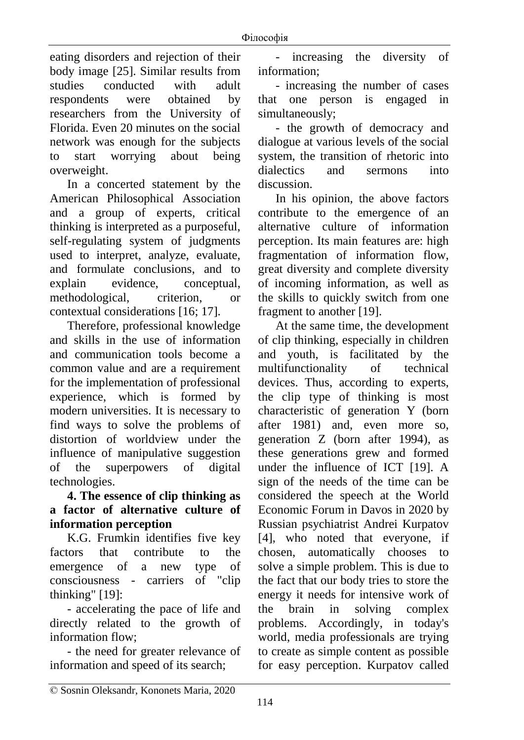eating disorders and rejection of their body image [25]. Similar results from studies conducted with adult respondents were obtained by researchers from the University of Florida. Even 20 minutes on the social network was enough for the subjects to start worrying about being overweight.

In a concerted statement by the American Philosophical Association and a group of experts, critical thinking is interpreted as a purposeful, self-regulating system of judgments used to interpret, analyze, evaluate, and formulate conclusions, and to explain evidence, conceptual, methodological, criterion, or contextual considerations [16; 17].

Therefore, professional knowledge and skills in the use of information and communication tools become a common value and are a requirement for the implementation of professional experience, which is formed by modern universities. It is necessary to find ways to solve the problems of distortion of worldview under the influence of manipulative suggestion of the superpowers of digital technologies.

## **4. The essence of clip thinking as a factor of alternative culture of information perception**

K.G. Frumkin identifies five key factors that contribute to the emergence of a new type of consciousness - carriers of "clip thinking" [19]:

- accelerating the pace of life and directly related to the growth of information flow;

- the need for greater relevance of information and speed of its search;

increasing the diversity of information;

- increasing the number of cases that one person is engaged in simultaneously;

- the growth of democracy and dialogue at various levels of the social system, the transition of rhetoric into dialectics and sermons into discussion.

In his opinion, the above factors contribute to the emergence of an alternative culture of information perception. Its main features are: high fragmentation of information flow, great diversity and complete diversity of incoming information, as well as the skills to quickly switch from one fragment to another [19].

At the same time, the development of clip thinking, especially in children and youth, is facilitated by the multifunctionality of technical devices. Thus, according to experts, the clip type of thinking is most characteristic of generation Y (born after 1981) and, even more so, generation Z (born after 1994), as these generations grew and formed under the influence of ICT [19]. A sign of the needs of the time can be considered the speech at the World Economic Forum in Davos in 2020 by Russian psychiatrist Andrei Kurpatov [4], who noted that everyone, if chosen, automatically chooses to solve a simple problem. This is due to the fact that our body tries to store the energy it needs for intensive work of the brain in solving complex problems. Accordingly, in today's world, media professionals are trying to create as simple content as possible for easy perception. Kurpatov called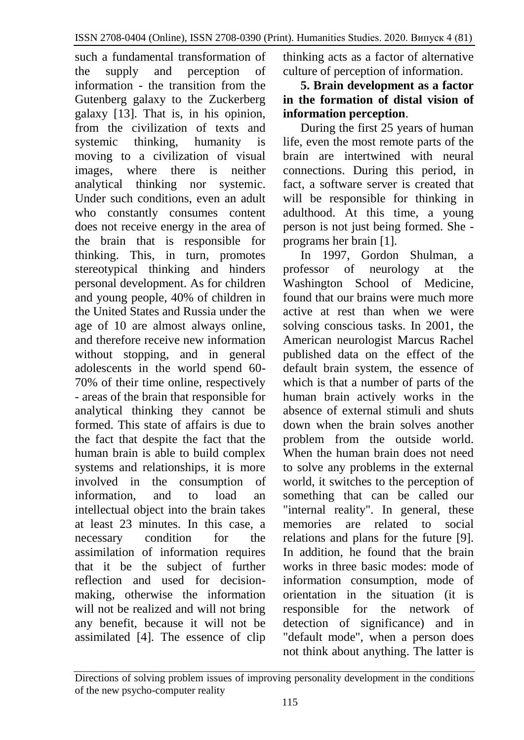such a fundamental transformation of the supply and perception of information - the transition from the Gutenberg galaxy to the Zuckerberg galaxy [13]. That is, in his opinion, from the civilization of texts and systemic thinking, humanity is moving to a civilization of visual images, where there is neither analytical thinking nor systemic. Under such conditions, even an adult who constantly consumes content does not receive energy in the area of the brain that is responsible for thinking. This, in turn, promotes stereotypical thinking and hinders personal development. As for children and young people, 40% of children in the United States and Russia under the age of 10 are almost always online, and therefore receive new information without stopping, and in general adolescents in the world spend 60- 70% of their time online, respectively - areas of the brain that responsible for analytical thinking they cannot be formed. This state of affairs is due to the fact that despite the fact that the human brain is able to build complex systems and relationships, it is more involved in the consumption of information, and to load an intellectual object into the brain takes at least 23 minutes. In this case, a necessary condition for the assimilation of information requires that it be the subject of further reflection and used for decisionmaking, otherwise the information will not be realized and will not bring any benefit, because it will not be assimilated [4]. The essence of clip

thinking acts as a factor of alternative culture of perception of information.

## **5. Brain development as a factor in the formation of distal vision of information perception**.

During the first 25 years of human life, even the most remote parts of the brain are intertwined with neural connections. During this period, in fact, a software server is created that will be responsible for thinking in adulthood. At this time, a young person is not just being formed. She programs her brain [1].

In 1997, Gordon Shulman, a professor of neurology at the Washington School of Medicine, found that our brains were much more active at rest than when we were solving conscious tasks. In 2001, the American neurologist Marcus Rachel published data on the effect of the default brain system, the essence of which is that a number of parts of the human brain actively works in the absence of external stimuli and shuts down when the brain solves another problem from the outside world. When the human brain does not need to solve any problems in the external world, it switches to the perception of something that can be called our "internal reality". In general, these memories are related to social relations and plans for the future [9]. In addition, he found that the brain works in three basic modes: mode of information consumption, mode of orientation in the situation (it is responsible for the network of detection of significance) and in "default mode", when a person does not think about anything. The latter is

Directions of solving problem issues of improving personality development in the conditions of the new psycho-computer reality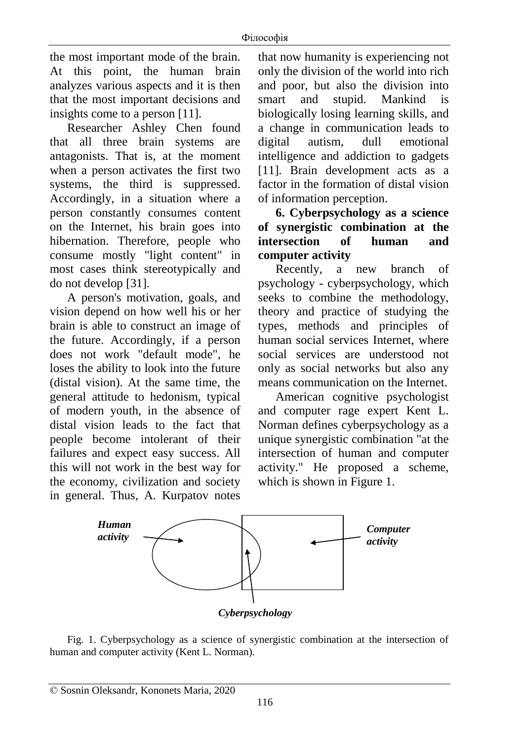the most important mode of the brain. At this point, the human brain analyzes various aspects and it is then that the most important decisions and insights come to a person [11].

Researcher Ashley Chen found that all three brain systems are antagonists. That is, at the moment when a person activates the first two systems, the third is suppressed. Accordingly, in a situation where a person constantly consumes content on the Internet, his brain goes into hibernation. Therefore, people who consume mostly "light content" in most cases think stereotypically and do not develop [31].

A person's motivation, goals, and vision depend on how well his or her brain is able to construct an image of the future. Accordingly, if a person does not work "default mode", he loses the ability to look into the future (distal vision). At the same time, the general attitude to hedonism, typical of modern youth, in the absence of distal vision leads to the fact that people become intolerant of their failures and expect easy success. All this will not work in the best way for the economy, civilization and society in general. Thus, A. Kurpatov notes that now humanity is experiencing not only the division of the world into rich and poor, but also the division into smart and stupid. Mankind is biologically losing learning skills, and a change in communication leads to digital autism, dull emotional intelligence and addiction to gadgets [11]. Brain development acts as a factor in the formation of distal vision of information perception.

**6. Cyberpsychology as a science of synergistic combination at the intersection of human and computer activity**

Recently, a new branch of psychology - cyberpsychology, which seeks to combine the methodology, theory and practice of studying the types, methods and principles of human social services Internet, where social services are understood not only as social networks but also any means communication on the Internet.

American cognitive psychologist and computer rage expert Kent L. Norman defines cyberpsychology as a unique synergistic combination "at the intersection of human and computer activity." He proposed a scheme, which is shown in Figure 1.



Fig. 1. Cyberpsychology as a science of synergistic combination at the intersection of human and computer activity (Kent L. Norman).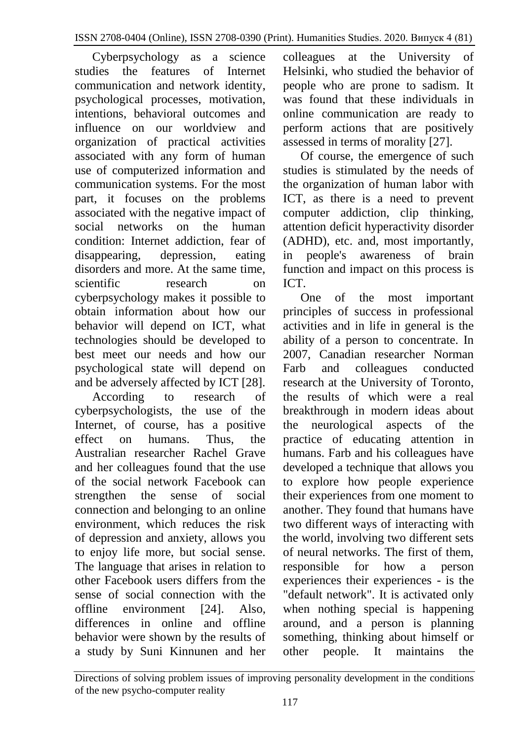Cyberpsychology as a science studies the features of Internet communication and network identity, psychological processes, motivation, intentions, behavioral outcomes and influence on our worldview and organization of practical activities associated with any form of human use of computerized information and communication systems. For the most part, it focuses on the problems associated with the negative impact of social networks on the human condition: Internet addiction, fear of disappearing, depression, eating disorders and more. At the same time, scientific research on cyberpsychology makes it possible to obtain information about how our behavior will depend on ICT, what technologies should be developed to best meet our needs and how our psychological state will depend on and be adversely affected by ICT [28].

According to research of cyberpsychologists, the use of the Internet, of course, has a positive effect on humans. Thus, the Australian researcher Rachel Grave and her colleagues found that the use of the social network Facebook can strengthen the sense of social connection and belonging to an online environment, which reduces the risk of depression and anxiety, allows you to enjoy life more, but social sense. The language that arises in relation to other Facebook users differs from the sense of social connection with the offline environment [24]. Also, differences in online and offline behavior were shown by the results of a study by Suni Kinnunen and her colleagues at the University of Helsinki, who studied the behavior of people who are prone to sadism. It was found that these individuals in online communication are ready to perform actions that are positively assessed in terms of morality [27].

Of course, the emergence of such studies is stimulated by the needs of the organization of human labor with ICT, as there is a need to prevent computer addiction, clip thinking, attention deficit hyperactivity disorder (ADHD), etc. and, most importantly, in people's awareness of brain function and impact on this process is ICT.

One of the most important principles of success in professional activities and in life in general is the ability of a person to concentrate. In 2007, Canadian researcher Norman Farb and colleagues conducted research at the University of Toronto, the results of which were a real breakthrough in modern ideas about the neurological aspects of the practice of educating attention in humans. Farb and his colleagues have developed a technique that allows you to explore how people experience their experiences from one moment to another. They found that humans have two different ways of interacting with the world, involving two different sets of neural networks. The first of them, responsible for how a person experiences their experiences - is the "default network". It is activated only when nothing special is happening around, and a person is planning something, thinking about himself or other people. It maintains the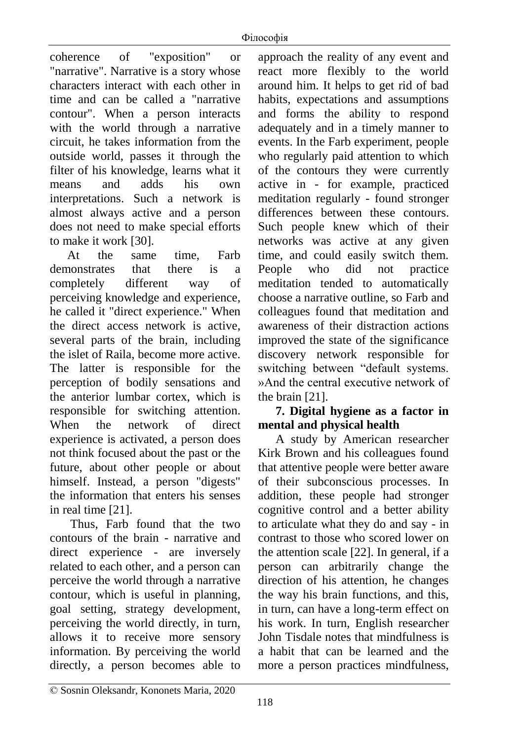coherence of "exposition" or "narrative". Narrative is a story whose characters interact with each other in time and can be called a "narrative contour". When a person interacts with the world through a narrative circuit, he takes information from the outside world, passes it through the filter of his knowledge, learns what it means and adds his own interpretations. Such a network is almost always active and a person does not need to make special efforts to make it work [30].

At the same time, Farb demonstrates that there is a completely different way of perceiving knowledge and experience, he called it "direct experience." When the direct access network is active, several parts of the brain, including the islet of Raila, become more active. The latter is responsible for the perception of bodily sensations and the anterior lumbar cortex, which is responsible for switching attention. When the network of direct experience is activated, a person does not think focused about the past or the future, about other people or about himself. Instead, a person "digests" the information that enters his senses in real time [21].

Thus, Farb found that the two contours of the brain - narrative and direct experience - are inversely related to each other, and a person can perceive the world through a narrative contour, which is useful in planning, goal setting, strategy development, perceiving the world directly, in turn, allows it to receive more sensory information. By perceiving the world directly, a person becomes able to

approach the reality of any event and react more flexibly to the world around him. It helps to get rid of bad habits, expectations and assumptions and forms the ability to respond adequately and in a timely manner to events. In the Farb experiment, people who regularly paid attention to which of the contours they were currently active in - for example, practiced meditation regularly - found stronger differences between these contours. Such people knew which of their networks was active at any given time, and could easily switch them. People who did not practice meditation tended to automatically choose a narrative outline, so Farb and colleagues found that meditation and awareness of their distraction actions improved the state of the significance discovery network responsible for switching between "default systems. »And the central executive network of the brain [21].

# **7. Digital hygiene as a factor in mental and physical health**

A study by American researcher Kirk Brown and his colleagues found that attentive people were better aware of their subconscious processes. In addition, these people had stronger cognitive control and a better ability to articulate what they do and say - in contrast to those who scored lower on the attention scale [22]. In general, if a person can arbitrarily change the direction of his attention, he changes the way his brain functions, and this, in turn, can have a long-term effect on his work. In turn, English researcher John Tisdale notes that mindfulness is a habit that can be learned and the more a person practices mindfulness,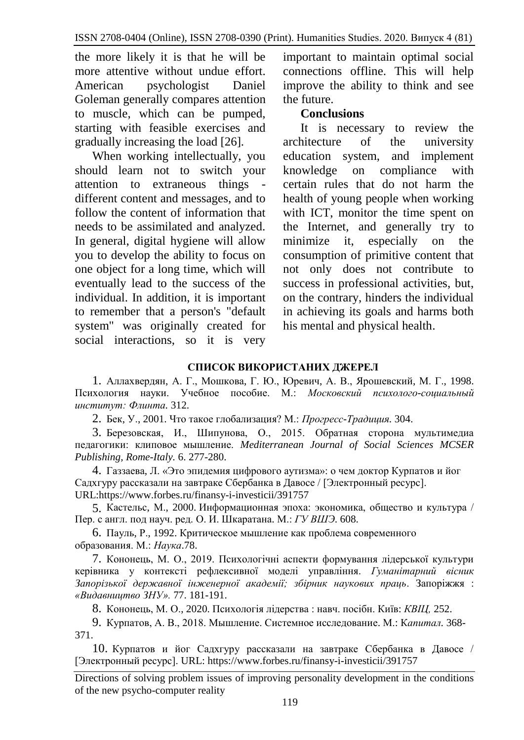the more likely it is that he will be more attentive without undue effort. American psychologist Daniel Goleman generally compares attention to muscle, which can be pumped, starting with feasible exercises and gradually increasing the load [26].

When working intellectually, you should learn not to switch your attention to extraneous things different content and messages, and to follow the content of information that needs to be assimilated and analyzed. In general, digital hygiene will allow you to develop the ability to focus on one object for a long time, which will eventually lead to the success of the individual. In addition, it is important to remember that a person's "default system" was originally created for social interactions, so it is very

important to maintain optimal social connections offline. This will help improve the ability to think and see the future.

## **Conclusions**

It is necessary to review the architecture of the university education system, and implement knowledge on compliance with certain rules that do not harm the health of young people when working with ICT, monitor the time spent on the Internet, and generally try to minimize it, especially on the consumption of primitive content that not only does not contribute to success in professional activities, but, on the contrary, hinders the individual in achieving its goals and harms both his mental and physical health.

## **СПИСОК ВИКОРИСТАНИХ ДЖЕРЕЛ**

1. Аллахвердян, А. Г., Мошкова, Г. Ю., Юревич, А. В., Ярошевский, М. Г., 1998. Психология науки. Учебное пособие. М.: *Московский психолого-социальный институт: Флинта.* 312.

2. Бек, У., 2001. Что такое глобализация? М.: *Прогресс-Традиция.* 304.

3. Березовская, И., Шипунова, О., 2015. Обратная сторона мультимедиа педагогики: клиповое мышление. *Mediterranean Journal of Social Sciences MCSER Publishing, Rome-Italy.* 6. 277-280.

4. Газзаева, Л. «Это эпидемия цифрового аутизма»: о чем доктор Курпатов и йог Садхгуру рассказали на завтраке Сбербанка в Давосе / [Электронный ресурс]. URL[:https://www.forbes.ru/finansy-i-investicii/391757](https://www.forbes.ru/finansy-i-investicii/391757)

5. Кастельс, М., 2000. Информационная эпоха: экономика, общество и культура / Пер. с англ. под науч. ред. О. И. Шкаратана. М.: *ГУ ВШЭ*. 608.

6. Пауль, Р., 1992. Критическое мышление как проблема современного образования. М.: *Наука*.78.

7. Кононець, М. О., 2019. Психологічні аспекти формування лідерської культури керівника у контексті рефлексивної моделі управління. *Гуманітарний вісник Запорізької державної інженерної академії; збірник наукових праць*. Запоріжжя : *«Видавництво ЗНУ».* 77. 181-191.

8. Кононець, М. О., 2020. Психологія лідерства : навч. посібн. Київ: *КВІЦ,* 252.

9. Курпатов, А. В., 2018. Мышление. Системное исследование. М.: К*апитал.* 368- 371.

10. Курпатов и йог Садхгуру рассказали на завтраке Сбербанка в Давосе / [Электронный ресурс]. URL: <https://www.forbes.ru/finansy-i-investicii/391757>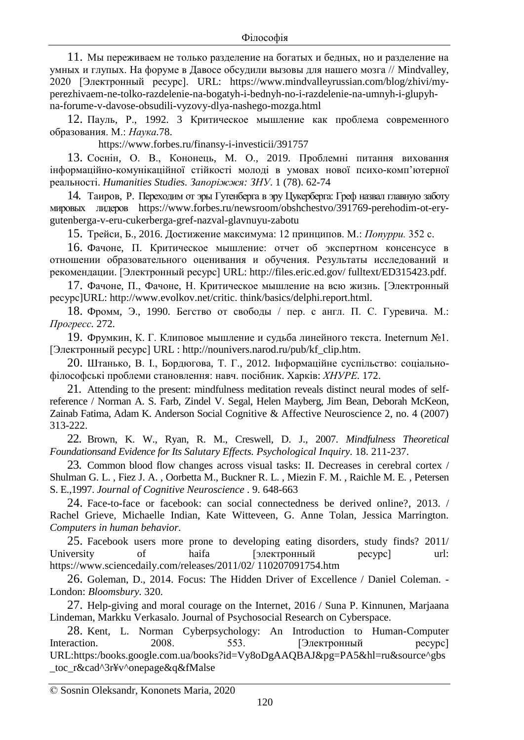11. Мы переживаем не только разделение на богатых и бедных, но и разделение на умных и глупых. На форуме в Давосе обсудили вызовы для нашего мозга // [Mindvalley,](https://www.mindvalleyrussian.com/blog/author/mindvalley) 2020 [Электронный ресурс]. URL: [https://www.mindvalleyrussian.com/blog/zhivi/my](https://www.mindvalleyrussian.com/blog/zhivi/my-perezhivaem-ne-tolko-razdelenie-na-bogatyh-i-bednyh-no-i-razdelenie-na-umnyh-i-glupyh-na-forume-v-davose-obsudili-vyzovy-dlya-nashego-mozga.html)[perezhivaem-ne-tolko-razdelenie-na-bogatyh-i-bednyh-no-i-razdelenie-na-umnyh-i-glupyh](https://www.mindvalleyrussian.com/blog/zhivi/my-perezhivaem-ne-tolko-razdelenie-na-bogatyh-i-bednyh-no-i-razdelenie-na-umnyh-i-glupyh-na-forume-v-davose-obsudili-vyzovy-dlya-nashego-mozga.html)[na-forume-v-davose-obsudili-vyzovy-dlya-nashego-mozga.html](https://www.mindvalleyrussian.com/blog/zhivi/my-perezhivaem-ne-tolko-razdelenie-na-bogatyh-i-bednyh-no-i-razdelenie-na-umnyh-i-glupyh-na-forume-v-davose-obsudili-vyzovy-dlya-nashego-mozga.html)

12. Пауль, Р., 1992. 3 Критическое мышление как проблема современного образования. М.: *Наука.*78.

<https://www.forbes.ru/finansy-i-investicii/391757>

13. Соснін, О. В., Кононець, М. О., 2019. Проблемні питання виховання інформаційно-комунікаційної стійкості молоді в умовах нової психо-комп'ютерної реальності. *Humanities Studies. Запоріжжя: ЗНУ*. 1 (78). 62-74

14. [Таиров,](https://www.forbes.ru/profile/rinat-tairov) P. Переходим от эры Гутенберга в эру Цукерберга: Греф назвал главную заботу мировых лидеров [https://www.forbes.ru/newsroom/obshchestvo/391769-perehodim-ot-ery](https://www.forbes.ru/newsroom/obshchestvo/391769-perehodim-ot-ery-gutenberga-v-eru-cukerberga-gref-nazval-glavnuyu-zabotu)[gutenberga-v-eru-cukerberga-gref-nazval-glavnuyu-zabotu](https://www.forbes.ru/newsroom/obshchestvo/391769-perehodim-ot-ery-gutenberga-v-eru-cukerberga-gref-nazval-glavnuyu-zabotu)

15. Трейси, Б., 2016. Достижение максимума: 12 принципов. М.: *Попурри.* 352 с.

16. Фачоне, П. Критическое мышление: отчет об экспертном консенсусе в отношении образовательного оценивания и обучения. Результаты исследований и рекомендации. [Электронный ресурс] URL: http://files.eric.ed.gov/ fulltext/ED315423.pdf.

17. Фачоне, П., Фачоне, Н. Критическое мышление на всю жизнь. [Электронный ресурс]URL: http://www.evolkov.net/critic. think/basics/delphi.report.html.

18. Фромм, Э., 1990. Бегство от свободы / пер. с англ. П. С. Гуревича. М.: *Прогресс.* 272.

19. Фрумкин, К. Г. Клиповое мышление и судьба линейного текста. Ineternum №1. [Электронный ресурс] URL : [http://nounivers.narod.ru/pub/kf\\_clip.htm.](http://nounivers.narod.ru/pub/kf_clip.htm)

20. Штанько, В. І., Бордюгова, Т. Г., 2012. Інформаційне суспільство: соціальнофілософські проблеми становлення: навч. посібник. Харків: *ХНУРЕ.* 172.

21. Attending to the present: mindfulness meditation reveals distinct neural modes of selfreference / Norman A. S. Farb, Zindel V. Segal, Helen Mayberg, Jim Bean, Deborah McKeon, Zainab Fatima, Adam K. Anderson Social Cognitive & Affective Neuroscience 2, no. 4 (2007) 313-222.

22. Brown, K. W., Ryan, R. M., Creswell, D. J., 2007. *Mindfulness Theoretical Foundationsand Evidence for Its Salutary Effects. Psychological Inquiry.* 18. 211-237.

23. Common blood flow changes across visual tasks: II. Decreases in cerebral cortex / Shulman G. L. , Fiez J. A. , Oorbetta M., Buckner R. L. , Miezin F. M. , Raichle M. E. , Petersen S. E.,1997. *Journal of Cognitive Neuroscience* . 9. 648-663

24. Face-to-face or facebook: can social connectedness be derived online?, 2013. / Rachel Grieve, Michaelle Indian, Kate Witteveen, G. Anne Tolan, Jessica Marrington. *Computers in human behavior.*

25. Facebook users more prone to developing eating disorders, study finds? 2011/ University of haifa [электронный ресурс] url: [https://www.sciencedaily.com/releases/2011/02/](https://www.sciencedaily.com/releases/2011/02/%20110207091754.htm) 110207091754.htm

26. Goleman, D., 2014. Focus: The Hidden Driver of Excellence / Daniel Coleman. - London: *Bloomsbury.* 320.

27. Help-giving and moral courage on the Internet, 2016 / Suna P. Kinnunen, Marjaana Lindeman, Markku Verkasalo. Journal of Psychosocial Research on Cyberspace.

28. Kent, L. Norman Cyberpsychology: An Introduction to Human-Computer Interaction. 2008. 553. [Электронный ресурс] [URL:https:/books.google.com.ua/books?id=Vy8oDgAAQBAJ&pg=PA5&hl=ru&source^gbs](https://books.google.com.ua/books?id=Vy8oDgAAQBAJ&pg=PA5&hl=ru&source%5egbs_toc_r&cad%5e3r¥v%5eonepage&q&fMalse) [\\_toc\\_r&cad^3r¥v^onepage&q&fMalse](https://books.google.com.ua/books?id=Vy8oDgAAQBAJ&pg=PA5&hl=ru&source%5egbs_toc_r&cad%5e3r¥v%5eonepage&q&fMalse)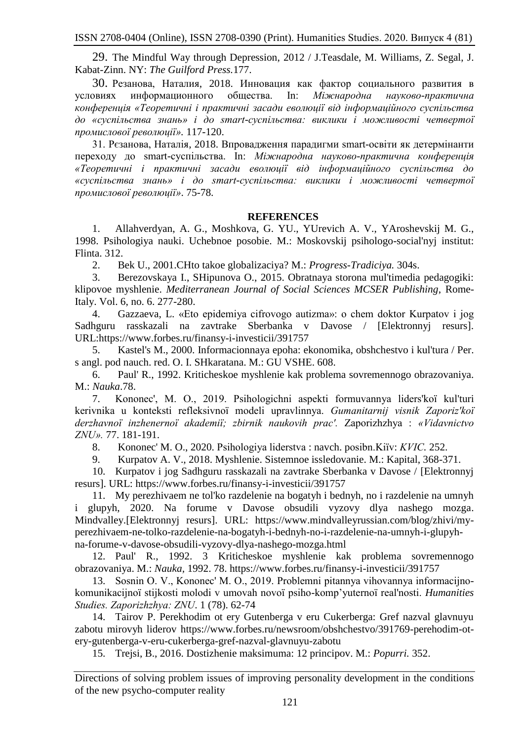29. The Mindful Way through Depression, 2012 / J.Teasdale, M. Williams, Z. Segal, J. Kabat-Zinn. NY: *The Guilford Press.*177.

30. Резанова, Наталия, 2018. Инновация как фактор социального развития в условиях информационного общества. In: *Міжнародна науково-практична конференція «Теоретичні і практичні засади еволюції від інформаційного суспільства до «суспільства знань» і до smart-суспільства: виклики і можливості четвертої промислової революції».* 117-120.

31. Рєзанова, Наталія, 2018. Впровадження парадигми smart-освіти як детермінанти переходу до smart-суспільства. In: *Міжнародна науково-практична конференція «Теоретичні і практичні засади еволюції від інформаційного суспільства до «суспільства знань» і до smart-суспільства: виклики і можливості четвертої промислової революції»*. 75-78.

#### **REFERENCES**

1. Allahverdyan, A. G., Moshkova, G. YU., YUrevich A. V., YAroshevskij M. G., 1998. Psihologiya nauki. Uchebnoe posobie. M.: Moskovskij psihologo-social'nyj institut: Flinta. 312.

2. Bek U., 2001.CHto takoe globalizaciya? M.: *Progress-Tradiciya.* 304s.

3. Berezovskaya I., SHipunova O., 2015. Obratnaya storona mul'timedia pedagogiki: klipovoe myshlenie. *Mediterranean Journal of Social Sciences MCSER Publishing*, Rome-Italy. Vol. 6, no. 6. 277-280.

4. Gazzaeva, L. «Eto epidemiya cifrovogo autizma»: o chem doktor Kurpatov i jog Sadhguru rasskazali na zavtrake Sberbanka v Davose / [Elektronnyj resurs]. URL:https://www.forbes.ru/finansy-i-investicii/391757

5. Kastel's M., 2000. Informacionnaya epoha: ekonomika, obshchestvo i kul'tura / Per. s angl. pod nauch. red. O. I. SHkaratana. M.: GU VSHE. 608.

6. Paul' R., 1992. Kriticheskoe myshlenie kak problema sovremennogo obrazovaniya. M.: *Nauka*.78.

7. Kononec', M. O., 2019. Psihologіchnі aspekti formuvannya lіders'koї kul'turi kerіvnika u kontekstі refleksivnoї modelі upravlіnnya. *Gumanіtarnij vіsnik Zaporіz'koї derzhavnoї іnzhenernoї akademії; zbіrnik naukovih prac'.* Zaporіzhzhya : *«Vidavnictvo ZNU».* 77. 181-191.

8. Kononec' M. O., 2020. Psihologіya lіderstva : navch. posіbn.Kiїv: *KVІC.* 252.

9. Kurpatov A. V., 2018. Myshlenie. Sistemnoe issledovanie. M.: Kapital, 368-371.

10. Kurpatov i jog Sadhguru rasskazali na zavtrake Sberbanka v Davose / [Elektronnyj resurs]. URL: https://www.forbes.ru/finansy-i-investicii/391757

11. My perezhivaem ne tol'ko razdelenie na bogatyh i bednyh, no i razdelenie na umnyh i glupyh, 2020. Na forume v Davose obsudili vyzovy dlya nashego mozga. Mindvalley.[Elektronnyj resurs]. URL: https://www.mindvalleyrussian.com/blog/zhivi/myperezhivaem-ne-tolko-razdelenie-na-bogatyh-i-bednyh-no-i-razdelenie-na-umnyh-i-glupyhna-forume-v-davose-obsudili-vyzovy-dlya-nashego-mozga.html

12. Paul' R., 1992. 3 Kriticheskoe myshlenie kak problema sovremennogo obrazovaniya. M.: *Nauka,* 1992. 78. https://www.forbes.ru/finansy-i-investicii/391757

13. Sosnіn O. V., Kononec' M. O., 2019. Problemnі pitannya vihovannya іnformacіjnokomunіkacіjnoї stіjkostі molodі v umovah novoї psiho-komp'yuternoї real'nostі. *Humanities Studies. Zaporіzhzhya: ZNU*. 1 (78). 62-74

14. Tairov P. Perekhodim ot ery Gutenberga v eru Cukerberga: Gref nazval glavnuyu zabotu mirovyh liderov https://www.forbes.ru/newsroom/obshchestvo/391769-perehodim-otery-gutenberga-v-eru-cukerberga-gref-nazval-glavnuyu-zabotu

15. Trejsi, B., 2016. Dostizhenie maksimuma: 12 principov. M.: *Popurri.* 352.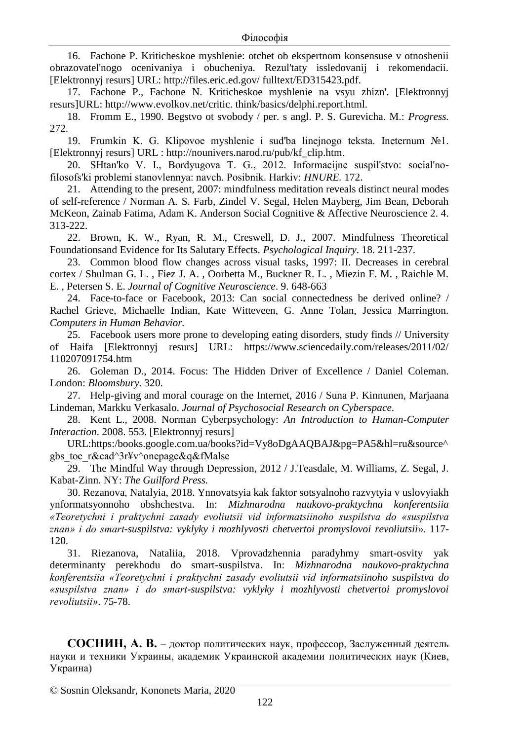16. Fachone P. Kriticheskoe myshlenie: otchet ob ekspertnom konsensuse v otnoshenii obrazovatel'nogo ocenivaniya i obucheniya. Rezul'taty issledovanij i rekomendacii. [Elektronnyj resurs] URL: http://files.eric.ed.gov/ fulltext/ED315423.pdf.

17. Fachone P., Fachone N. Kriticheskoe myshlenie na vsyu zhizn'. [Elektronnyj resurs]URL: http://www.evolkov.net/critic. think/basics/delphi.report.html.

18. Fromm E., 1990. Begstvo ot svobody / per. s angl. P. S. Gurevicha. M.: *Progress.* 272.

19. Frumkin K. G. Klipovoe myshlenie i sud'ba linejnogo teksta. Ineternum №1. [Elektronnyj resurs] URL : http://nounivers.narod.ru/pub/kf\_clip.htm.

20. SHtan'ko V. І., Bordyugova T. G., 2012. Іnformacіjne suspіl'stvo: socіal'nofіlosofs'kі problemi stanovlennya: navch. Posіbnik. Harkіv: *HNURE.* 172.

21. Attending to the present, 2007: mindfulness meditation reveals distinct neural modes of self-reference / Norman A. S. Farb, Zindel V. Segal, Helen Mayberg, Jim Bean, Deborah McKeon, Zainab Fatima, Adam K. Anderson Social Cognitive & Affective Neuroscience 2. 4. 313-222.

22. Brown, K. W., Ryan, R. M., Creswell, D. J., 2007. Mindfulness Theoretical Foundationsand Evidence for Its Salutary Effects. *Psychological Inquiry*. 18. 211-237.

23. Common blood flow changes across visual tasks, 1997: II. Decreases in cerebral cortex / Shulman G. L. , Fiez J. A. , Oorbetta M., Buckner R. L. , Miezin F. M. , Raichle M. E. , Petersen S. E. *Journal of Cognitive Neuroscience*. 9. 648-663

24. Face-to-face or Facebook, 2013: Can social connectedness be derived online? / Rachel Grieve, Michaelle Indian, Kate Witteveen, G. Anne Tolan, Jessica Marrington. *Computers in Human Behavior.*

25. Facebook users more prone to developing eating disorders, study finds // University of Haifa [Elektronnyj resurs] URL: https://www.sciencedaily.com/releases/2011/02/ 110207091754.htm

26. Goleman D., 2014. Focus: The Hidden Driver of Excellence / Daniel Coleman. London: *Bloomsbury.* 320.

27. Help-giving and moral courage on the Internet, 2016 / Suna P. Kinnunen, Marjaana Lindeman, Markku Verkasalo. *Journal of Psychosocial Research on Cyberspace*.

28. Kent L., 2008. Norman Cyberpsychology: *An Introduction to Human-Computer Interaction*. 2008. 553. [Elektronnyj resurs]

URL:https:/books.google.com.ua/books?id=Vy8oDgAAQBAJ&pg=PA5&hl=ru&source^ gbs\_toc\_r&cad^3r¥v^onepage&q&fMalse

29. The Mindful Way through Depression, 2012 / J.Teasdale, M. Williams, Z. Segal, J. Kabat-Zinn. NY: *The Guilford Press.*

30. Rezanova, Natalyia, 2018. Ynnovatsyia kak faktor sotsyalnoho razvytyia v uslovyiakh ynformatsyonnoho obshchestva. In: *Mizhnarodna naukovo-praktychna konferentsiia «Teoretychni i praktychni zasady evoliutsii vid informatsiinoho suspilstva do «suspilstva znan» i do smart-suspilstva: vyklyky i mozhlyvosti chetvertoi promyslovoi revoliutsii*». 117- 120.

31. Riezanova, Nataliia, 2018. Vprovadzhennia paradyhmy smart-osvity yak determinanty perekhodu do smart-suspilstva. In: *Mizhnarodna naukovo-praktychna konferentsiia «Teoretychni i praktychni zasady evoliutsii vid informatsiinoho suspilstva do «suspilstva znan» i do smart-suspilstva: vyklyky i mozhlyvosti chetvertoi promyslovoi revoliutsii»*. 75-78.

**СОСНИН, А. В.** – доктор политических наук, профессор, Заслуженный деятель науки и техники Украины, академик Украинской академии политических наук (Киев, Украина)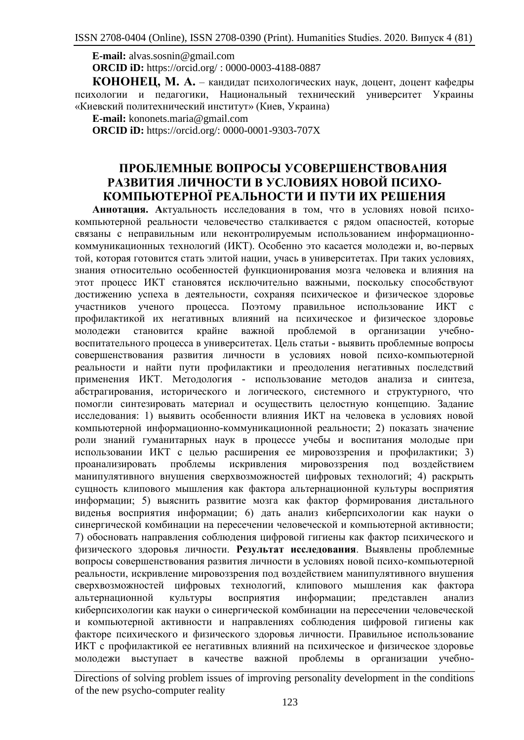**E-mail:** [alvas.sosnin@gmail.com](mailto:alvas.sosnin@gmail.com) **ORCID iD:** <https://orcid.org/> : 0000-0003-4188-0887

**КОНОНЕЦ, М. А.** – кандидат психологических наук, доцент, доцент кафедры психологии и педагогики, Национальный технический университет Украины «Киевский политехнический институт» (Киев, Украина)

**Е-maіl:** [kononets.maria@gmail.com](mailto:kononets.maria@gmail.com)

**ORCID iD:** [https://orcid.org/:](https://orcid.org/) 0000-0001-9303-707X

## **ПРОБЛЕМНЫЕ ВОПРОСЫ УСОВЕРШЕНСТВОВАНИЯ РАЗВИТИЯ ЛИЧНОСТИ В УСЛОВИЯХ НОВОЙ ПСИХО-КОМПЬЮТЕРНОЇ РЕАЛЬНОСТИ И ПУТИ ИХ РЕШЕНИЯ**

**Аннотация. А**ктуальность исследования в том, что в условиях новой психокомпьютерной реальности человечество сталкивается с рядом опасностей, которые связаны с неправильным или неконтролируемым использованием информационнокоммуникационных технологий (ИКТ). Особенно это касается молодежи и, во-первых той, которая готовится стать элитой нации, учась в университетах. При таких условиях, знания относительно особенностей функционирования мозга человека и влияния на этот процесс ИКТ становятся исключительно важными, поскольку способствуют достижению успеха в деятельности, сохраняя психическое и физическое здоровье участников ученого процесса. Поэтому правильное использование ИКТ с профилактикой их негативных влияний на психическое и физическое здоровье молодежи становится крайне важной проблемой в организации учебновоспитательного процесса в университетах. Цель статьи - выявить проблемные вопросы совершенствования развития личности в условиях новой психо-компьютерной реальности и найти пути профилактики и преодоления негативных последствий применения ИКТ. Методология - использование методов анализа и синтеза, абстрагирования, исторического и логического, системного и структурного, что помогли синтезировать материал и осуществить целостную концепцию. Задание исследования: 1) выявить особенности влияния ИКТ на человека в условиях новой компьютерной информационно-коммуникационной реальности; 2) показать значение роли знаний гуманитарных наук в процессе учебы и воспитания молодые при использовании ИКТ с целью расширения ее мировоззрения и профилактики; 3) проанализировать проблемы искривления мировоззрения под воздействием манипулятивного внушения сверхвозможностей цифровых технологий; 4) раскрыть сущность клипового мышления как фактора альтернационной культуры восприятия информации; 5) выяснить развитие мозга как фактор формирования дистального виденья восприятия информации; 6) дать анализ киберпсихологии как науки о синергической комбинации на пересечении человеческой и компьютерной активности; 7) обосновать направления соблюдения цифровой гигиены как фактор психического и физического здоровья личности. **Результат исследования**. Выявлены проблемные вопросы совершенствования развития личности в условиях новой психо-компьютерной реальности, искривление мировоззрения под воздействием манипулятивного внушения сверхвозможностей цифровых технологий, клипового мышления как фактора альтернационной культуры восприятия информации; представлен анализ киберпсихологии как науки о синергической комбинации на пересечении человеческой и компьютерной активности и направлениях соблюдения цифровой гигиены как факторе психического и физического здоровья личности. Правильное использование ИКТ с профилактикой ее негативных влияний на психическое и физическое здоровье молодежи выступает в качестве важной проблемы в организации учебно-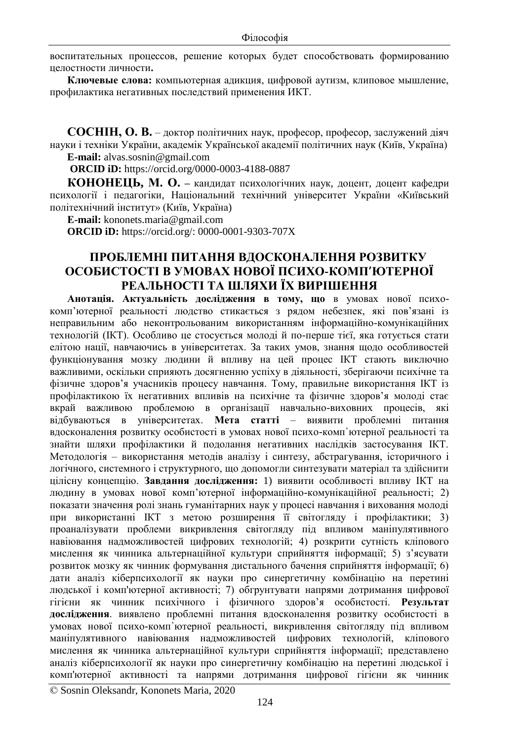воспитательных процессов, решение которых будет способствовать формированию целостности личности**.** 

**Ключевые слова:** компьютерная адикция, цифровой аутизм, клиповое мышление, профилактика негативных последствий применения ИКТ.

**СОСНІН, О. В.** – доктор політичних наук, професор, професор, заслужений діяч науки і техніки України, академік Української академії політичних наук (Київ, Україна) **E-mail:** [alvas.sosnin@gmail.com](mailto:alvas.sosnin@gmail.com)

**ORCID iD:** [https://orcid.org/0](https://orcid.org/)000-0003-4188-0887

**КОНОНЕЦЬ, М. О. –** кандидат психологічних наук, доцент, доцент кафедри психології і педагогіки, Національний технічний університет України «Київський політехнічний інститут» (Київ, Україна)

**Е-maіl:** [kononets.maria@gmail.com](mailto:kononets.maria@gmail.com)

**ORCID iD:** [https://orcid.org/:](https://orcid.org/) 0000-0001-9303-707X

### **ПРОБЛЕМНІ ПИТАННЯ ВДОСКОНАЛЕННЯ РОЗВИТКУ ОСОБИСТОСТІ В УМОВАХ НОВОЇ ПСИХО-КОМП**᾿**ЮТЕРНОЇ РЕАЛЬНОСТІ ТА ШЛЯХИ ЇХ ВИРІШЕННЯ**

**Анотація. Актуальність дослідження в тому, що** в умовах нової психокомп'ютерної реальності людство стикається з рядом небезпек, які пов'язані із неправильним або неконтрольованим використанням інформаційно-комунікаційних технологій (ІКТ). Особливо це стосується молоді й по-перше тієї, яка готується стати елітою нації, навчаючись в університетах. За таких умов, знання щодо особливостей функціонування мозку людини й впливу на цей процес ІКТ стають виключно важливими, оскільки сприяють досягненню успіху в діяльності, зберігаючи психічне та фізичне здоров'я учасників процесу навчання. Тому, правильне використання ІКТ із профілактикою їх негативних впливів на психічне та фізичне здоров'я молоді стає вкрай важливою проблемою в організації навчально-виховних процесів, які відбуваються в університетах. **Мета статті** – виявити проблемні питання вдосконалення розвитку особистості в умовах нової психо-комп'ютерної реальності та знайти шляхи профілактики й подолання негативних наслідків застосування ІКТ. Методологія – використання методів аналізу і синтезу, абстрагування, історичного і логічного, системного і структурного, що допомогли синтезувати матеріал та здійснити цілісну концепцію. **Завдання дослідження:** 1) виявити особливості впливу ІКТ на людину в умовах нової комп'ютерної інформаційно-комунікаційної реальності; 2) показати значення ролі знань гуманітарних наук у процесі навчання і виховання молоді при використанні ІКТ з метою розширення її світогляду і профілактики; 3) проаналізувати проблеми викривлення світогляду під впливом маніпулятивного навіювання надможливостей цифрових технологій; 4) розкрити сутність кліпового мислення як чинника альтернаційної культури сприйняття інформації; 5) з'ясувати розвиток мозку як чинник формування дистального бачення сприйняття інформації; 6) дати аналіз кіберпсихології як науки про синергетичну комбінацію на перетині людської і комп'ютерної активності; 7) обгрунтувати напрями дотримання цифрової гігієни як чинник психічного і фізичного здоров'я особистості. **Результат дослідження**. виявлено проблемні питання вдосконалення розвитку особистості в умовах нової психо-комп᾿ютерної реальності, викривлення світогляду під впливом маніпулятивного навіювання надможливостей цифрових технологій, кліпового мислення як чинника альтернаційної культури сприйняття інформації; представлено аналіз кіберпсихології як науки про синергетичну комбінацію на перетині людської і комп'ютерної активності та напрями дотримання цифрової гігієни як чинник